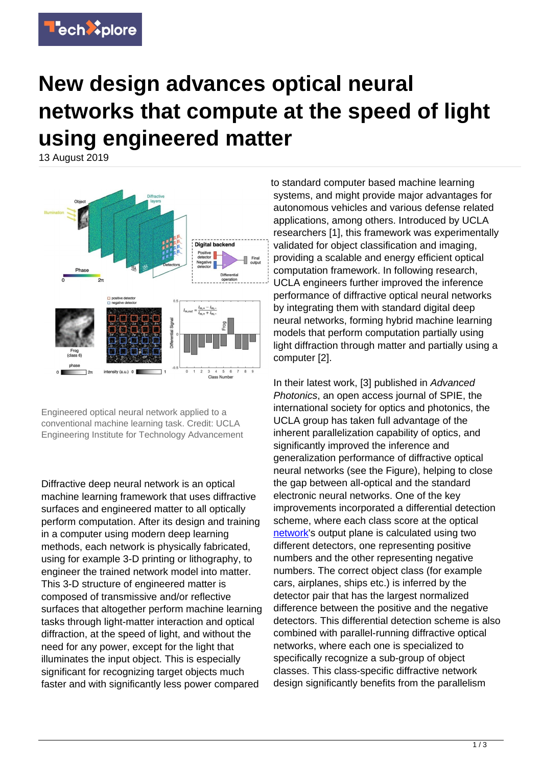

## **New design advances optical neural networks that compute at the speed of light using engineered matter**

13 August 2019



Engineered optical neural network applied to a conventional machine learning task. Credit: UCLA Engineering Institute for Technology Advancement

Diffractive deep neural network is an optical machine learning framework that uses diffractive surfaces and engineered matter to all optically perform computation. After its design and training in a computer using modern deep learning methods, each network is physically fabricated, using for example 3-D printing or lithography, to engineer the trained network model into matter. This 3-D structure of engineered matter is composed of transmissive and/or reflective surfaces that altogether perform machine learning tasks through light-matter interaction and optical diffraction, at the speed of light, and without the need for any power, except for the light that illuminates the input object. This is especially significant for recognizing target objects much faster and with significantly less power compared

to standard computer based machine learning systems, and might provide major advantages for autonomous vehicles and various defense related applications, among others. Introduced by UCLA researchers [1], this framework was experimentally validated for object classification and imaging, providing a scalable and energy efficient optical computation framework. In following research, UCLA engineers further improved the inference performance of diffractive optical neural networks by integrating them with standard digital deep neural networks, forming hybrid machine learning models that perform computation partially using light diffraction through matter and partially using a computer [2].

In their latest work, [3] published in Advanced Photonics, an open access journal of SPIE, the international society for optics and photonics, the UCLA group has taken full advantage of the inherent parallelization capability of optics, and significantly improved the inference and generalization performance of diffractive optical neural networks (see the Figure), helping to close the gap between all-optical and the standard electronic neural networks. One of the key improvements incorporated a differential detection scheme, where each class score at the optical [network](https://techxplore.com/tags/network/)'s output plane is calculated using two different detectors, one representing positive numbers and the other representing negative numbers. The correct object class (for example cars, airplanes, ships etc.) is inferred by the detector pair that has the largest normalized difference between the positive and the negative detectors. This differential detection scheme is also combined with parallel-running diffractive optical networks, where each one is specialized to specifically recognize a sub-group of object classes. This class-specific diffractive network design significantly benefits from the parallelism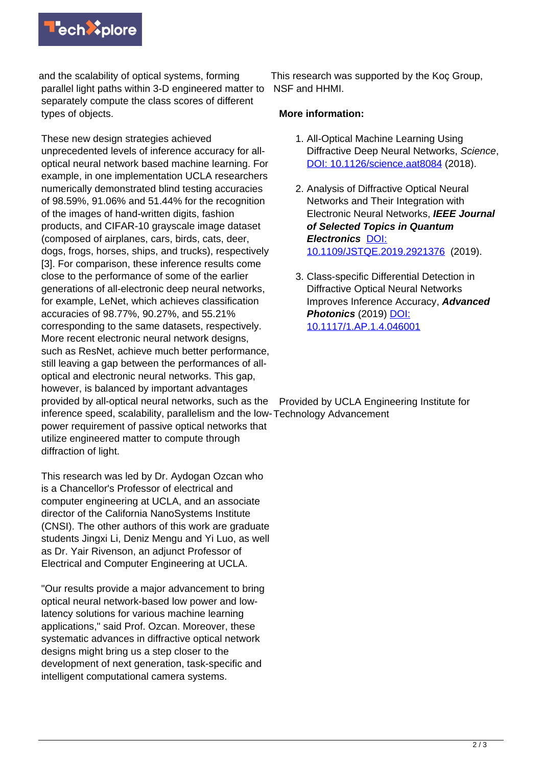

and the scalability of optical systems, forming parallel light paths within 3-D engineered matter to NSF and HHMI. separately compute the class scores of different types of objects.

These new design strategies achieved unprecedented levels of inference accuracy for alloptical neural network based machine learning. For example, in one implementation UCLA researchers numerically demonstrated blind testing accuracies of 98.59%, 91.06% and 51.44% for the recognition of the images of hand-written digits, fashion products, and CIFAR-10 grayscale image dataset (composed of airplanes, cars, birds, cats, deer, dogs, frogs, horses, ships, and trucks), respectively [3]. For comparison, these inference results come close to the performance of some of the earlier generations of all-electronic deep neural networks, for example, LeNet, which achieves classification accuracies of 98.77%, 90.27%, and 55.21% corresponding to the same datasets, respectively. More recent electronic neural network designs, such as ResNet, achieve much better performance, still leaving a gap between the performances of alloptical and electronic neural networks. This gap, however, is balanced by important advantages provided by all-optical neural networks, such as the power requirement of passive optical networks that

This research was supported by the Koç Group,

## **More information:**

- 1. All-Optical Machine Learning Using Diffractive Deep Neural Networks, Science, [DOI: 10.1126/science.aat8084](https://doi.org/10.1126/science.aat8084) (2018).
- 2. Analysis of Diffractive Optical Neural Networks and Their Integration with Electronic Neural Networks, **IEEE Journal of Selected Topics in Quantum Electronics** [DOI:](https://ieeexplore.ieee.org/document/8732486) [10.1109/JSTQE.2019.2921376](https://ieeexplore.ieee.org/document/8732486) (2019).
- 3. Class-specific Differential Detection in Diffractive Optical Neural Networks Improves Inference Accuracy, **Advanced Photonics** (2019) [DOI:](http://dx.doi.org/10.1117/1.AP.1.4.046001) [10.1117/1.AP.1.4.046001](http://dx.doi.org/10.1117/1.AP.1.4.046001)

inference speed, scalability, parallelism and the low-Technology Advancement utilize engineered matter to compute through diffraction of light. Provided by UCLA Engineering Institute for

This research was led by Dr. Aydogan Ozcan who is a Chancellor's Professor of electrical and computer engineering at UCLA, and an associate director of the California NanoSystems Institute (CNSI). The other authors of this work are graduate students Jingxi Li, Deniz Mengu and Yi Luo, as well as Dr. Yair Rivenson, an adjunct Professor of Electrical and Computer Engineering at UCLA.

"Our results provide a major advancement to bring optical neural network-based low power and lowlatency solutions for various machine learning applications," said Prof. Ozcan. Moreover, these systematic advances in diffractive optical network designs might bring us a step closer to the development of next generation, task-specific and intelligent computational camera systems.